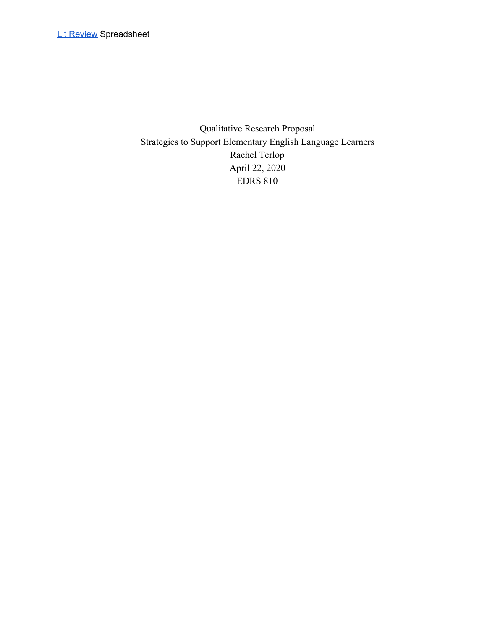Qualitative Research Proposal Strategies to Support Elementary English Language Learners Rachel Terlop April 22, 2020 EDRS 810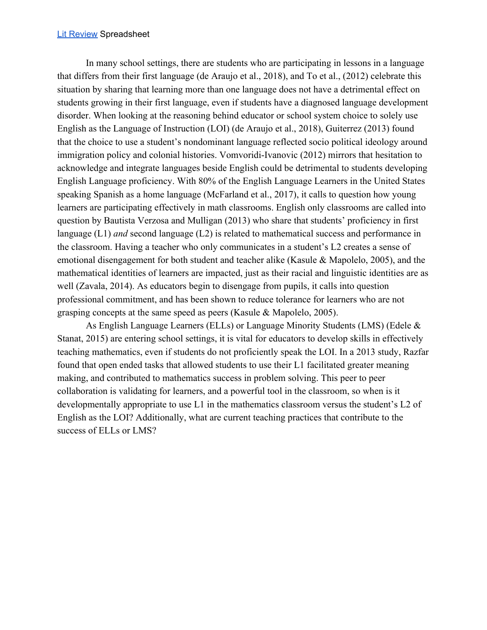#### Lit [Review](https://docs.google.com/spreadsheets/d/1ufuzw4EPA9jjQA0_Nf8i-8BiE47PDetLtHV6tUVWL4Q/edit?usp=sharing) Spreadsheet

In many school settings, there are students who are participating in lessons in a language that differs from their first language (de Araujo et al., 2018), and To et al., (2012) celebrate this situation by sharing that learning more than one language does not have a detrimental effect on students growing in their first language, even if students have a diagnosed language development disorder. When looking at the reasoning behind educator or school system choice to solely use English as the Language of Instruction (LOI) (de Araujo et al., 2018), Guiterrez (2013) found that the choice to use a student's nondominant language reflected socio political ideology around immigration policy and colonial histories. Vomvoridi-Ivanovic (2012) mirrors that hesitation to acknowledge and integrate languages beside English could be detrimental to students developing English Language proficiency. With 80% of the English Language Learners in the United States speaking Spanish as a home language (McFarland et al., 2017), it calls to question how young learners are participating effectively in math classrooms. English only classrooms are called into question by Bautista Verzosa and Mulligan (2013) who share that students' proficiency in first language (L1) *and* second language (L2) is related to mathematical success and performance in the classroom. Having a teacher who only communicates in a student's L2 creates a sense of emotional disengagement for both student and teacher alike (Kasule & Mapolelo, 2005), and the mathematical identities of learners are impacted, just as their racial and linguistic identities are as well (Zavala, 2014). As educators begin to disengage from pupils, it calls into question professional commitment, and has been shown to reduce tolerance for learners who are not grasping concepts at the same speed as peers (Kasule & Mapolelo, 2005).

As English Language Learners (ELLs) or Language Minority Students (LMS) (Edele & Stanat, 2015) are entering school settings, it is vital for educators to develop skills in effectively teaching mathematics, even if students do not proficiently speak the LOI. In a 2013 study, Razfar found that open ended tasks that allowed students to use their L1 facilitated greater meaning making, and contributed to mathematics success in problem solving. This peer to peer collaboration is validating for learners, and a powerful tool in the classroom, so when is it developmentally appropriate to use L1 in the mathematics classroom versus the student's L2 of English as the LOI? Additionally, what are current teaching practices that contribute to the success of ELLs or LMS?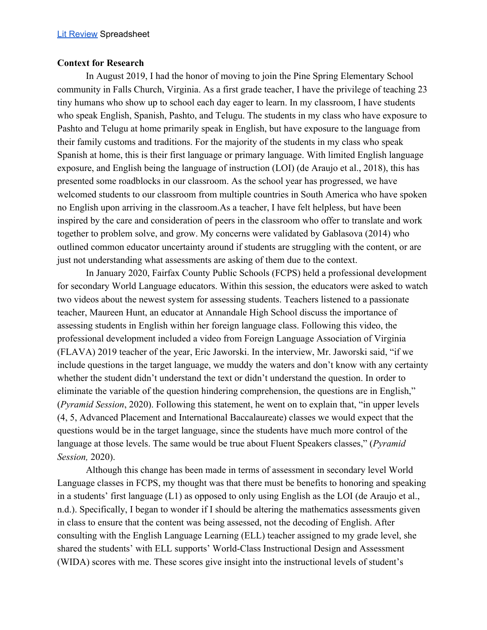#### **Context for Research**

In August 2019, I had the honor of moving to join the Pine Spring Elementary School community in Falls Church, Virginia. As a first grade teacher, I have the privilege of teaching 23 tiny humans who show up to school each day eager to learn. In my classroom, I have students who speak English, Spanish, Pashto, and Telugu. The students in my class who have exposure to Pashto and Telugu at home primarily speak in English, but have exposure to the language from their family customs and traditions. For the majority of the students in my class who speak Spanish at home, this is their first language or primary language. With limited English language exposure, and English being the language of instruction (LOI) (de Araujo et al., 2018), this has presented some roadblocks in our classroom. As the school year has progressed, we have welcomed students to our classroom from multiple countries in South America who have spoken no English upon arriving in the classroom.As a teacher, I have felt helpless, but have been inspired by the care and consideration of peers in the classroom who offer to translate and work together to problem solve, and grow. My concerns were validated by Gablasova (2014) who outlined common educator uncertainty around if students are struggling with the content, or are just not understanding what assessments are asking of them due to the context.

In January 2020, Fairfax County Public Schools (FCPS) held a professional development for secondary World Language educators. Within this session, the educators were asked to watch two videos about the newest system for assessing students. Teachers listened to a passionate teacher, Maureen Hunt, an educator at Annandale High School discuss the importance of assessing students in English within her foreign language class. Following this video, the professional development included a video from Foreign Language Association of Virginia (FLAVA) 2019 teacher of the year, Eric Jaworski. In the interview, Mr. Jaworski said, "if we include questions in the target language, we muddy the waters and don't know with any certainty whether the student didn't understand the text or didn't understand the question. In order to eliminate the variable of the question hindering comprehension, the questions are in English," (*Pyramid Session*, 2020). Following this statement, he went on to explain that, "in upper levels (4, 5, Advanced Placement and International Baccalaureate) classes we would expect that the questions would be in the target language, since the students have much more control of the language at those levels. The same would be true about Fluent Speakers classes," (*Pyramid Session,* 2020).

Although this change has been made in terms of assessment in secondary level World Language classes in FCPS, my thought was that there must be benefits to honoring and speaking in a students' first language (L1) as opposed to only using English as the LOI (de Araujo et al., n.d.). Specifically, I began to wonder if I should be altering the mathematics assessments given in class to ensure that the content was being assessed, not the decoding of English. After consulting with the English Language Learning (ELL) teacher assigned to my grade level, she shared the students' with ELL supports' World-Class Instructional Design and Assessment (WIDA) scores with me. These scores give insight into the instructional levels of student's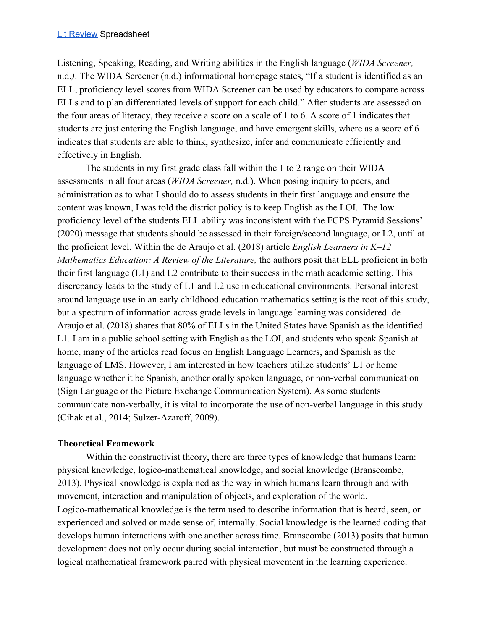Listening, Speaking, Reading, and Writing abilities in the English language (*WIDA Screener,* n.d.*)*. The WIDA Screener (n.d.) informational homepage states, "If a student is identified as an ELL, proficiency level scores from WIDA Screener can be used by educators to compare across ELLs and to plan differentiated levels of support for each child." After students are assessed on the four areas of literacy, they receive a score on a scale of 1 to 6. A score of 1 indicates that students are just entering the English language, and have emergent skills, where as a score of 6 indicates that students are able to think, synthesize, infer and communicate efficiently and effectively in English.

The students in my first grade class fall within the 1 to 2 range on their WIDA assessments in all four areas (*WIDA Screener,* n.d.). When posing inquiry to peers, and administration as to what I should do to assess students in their first language and ensure the content was known, I was told the district policy is to keep English as the LOI. The low proficiency level of the students ELL ability was inconsistent with the FCPS Pyramid Sessions' (2020) message that students should be assessed in their foreign/second language, or L2, until at the proficient level. Within the de Araujo et al. (2018) article *English Learners in K–12 Mathematics Education: A Review of the Literature, the authors posit that ELL proficient in both* their first language (L1) and L2 contribute to their success in the math academic setting. This discrepancy leads to the study of L1 and L2 use in educational environments. Personal interest around language use in an early childhood education mathematics setting is the root of this study, but a spectrum of information across grade levels in language learning was considered. de Araujo et al. (2018) shares that 80% of ELLs in the United States have Spanish as the identified L1. I am in a public school setting with English as the LOI, and students who speak Spanish at home, many of the articles read focus on English Language Learners, and Spanish as the language of LMS. However, I am interested in how teachers utilize students' L1 or home language whether it be Spanish, another orally spoken language, or non-verbal communication (Sign Language or the Picture Exchange Communication System). As some students communicate non-verbally, it is vital to incorporate the use of non-verbal language in this study (Cihak et al., 2014; Sulzer-Azaroff, 2009).

# **Theoretical Framework**

Within the constructivist theory, there are three types of knowledge that humans learn: physical knowledge, logico-mathematical knowledge, and social knowledge (Branscombe, 2013). Physical knowledge is explained as the way in which humans learn through and with movement, interaction and manipulation of objects, and exploration of the world. Logico-mathematical knowledge is the term used to describe information that is heard, seen, or experienced and solved or made sense of, internally. Social knowledge is the learned coding that develops human interactions with one another across time. Branscombe (2013) posits that human development does not only occur during social interaction, but must be constructed through a logical mathematical framework paired with physical movement in the learning experience.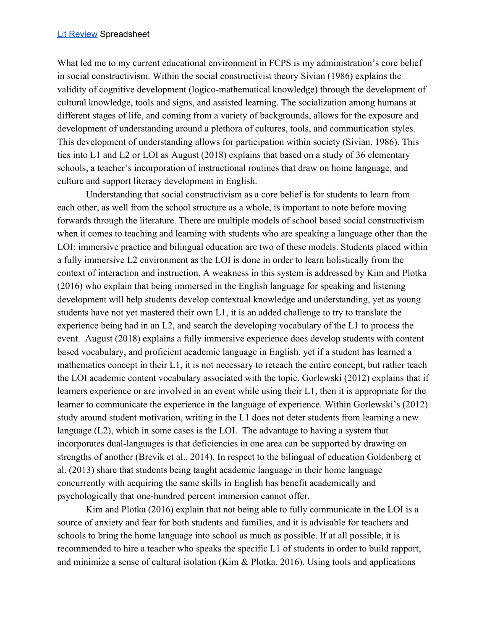What led me to my current educational environment in FCPS is my administration's core belief in social constructivism. Within the social constructivist theory Sivian (1986) explains the validity of cognitive development (logico-mathematical knowledge) through the development of cultural knowledge, tools and signs, and assisted learning. The socialization among humans at different stages of life, and coming from a variety of backgrounds, allows for the exposure and development of understanding around a plethora of cultures, tools, and communication styles. This development of understanding allows for participation within society (Sivian, 1986). This ties into L1 and L2 or LOI as August (2018) explains that based on a study of 36 elementary schools, a teacher's incorporation of instructional routines that draw on home language, and culture and support literacy development in English.

Understanding that social constructivism as a core belief is for students to learn from each other, as well from the school structure as a whole, is important to note before moving forwards through the literature. There are multiple models of school based social constructivism when it comes to teaching and learning with students who are speaking a language other than the LOI: immersive practice and bilingual education are two of these models. Students placed within a fully immersive L2 environment as the LOI is done in order to learn holistically from the context of interaction and instruction. A weakness in this system is addressed by Kim and Plotka (2016) who explain that being immersed in the English language for speaking and listening development will help students develop contextual knowledge and understanding, yet as young students have not yet mastered their own L1, it is an added challenge to try to translate the experience being had in an L2, and search the developing vocabulary of the L1 to process the event. August (2018) explains a fully immersive experience does develop students with content based vocabulary, and proficient academic language in English, yet if a student has learned a mathematics concept in their L1, it is not necessary to reteach the entire concept, but rather teach the LOI academic content vocabulary associated with the topic. Gorlewski (2012) explains that if learners experience or are involved in an event while using their L1, then it is appropriate for the learner to communicate the experience in the language of experience. Within Gorlewski's (2012) study around student motivation, writing in the L1 does not deter students from learning a new language (L2), which in some cases is the LOI. The advantage to having a system that incorporates dual-languages is that deficiencies in one area can be supported by drawing on strengths of another (Brevik et al., 2014). In respect to the bilingual of education Goldenberg et al. (2013) share that students being taught academic language in their home language concurrently with acquiring the same skills in English has benefit academically and psychologically that one-hundred percent immersion cannot offer.

Kim and Plotka (2016) explain that not being able to fully communicate in the LOI is a source of anxiety and fear for both students and families, and it is advisable for teachers and schools to bring the home language into school as much as possible. If at all possible, it is recommended to hire a teacher who speaks the specific L1 of students in order to build rapport, and minimize a sense of cultural isolation (Kim & Plotka, 2016). Using tools and applications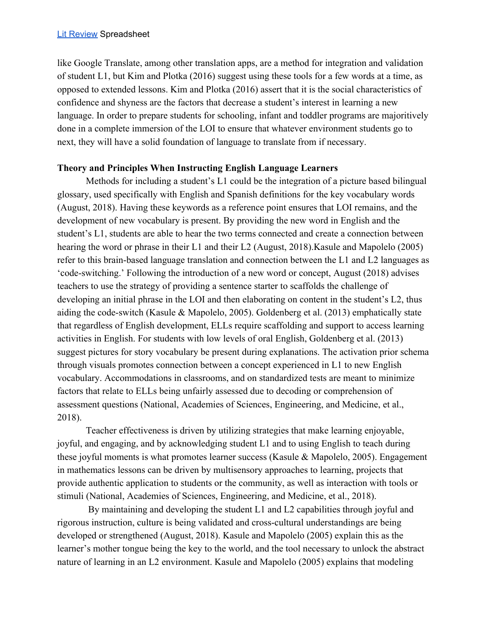like Google Translate, among other translation apps, are a method for integration and validation of student L1, but Kim and Plotka (2016) suggest using these tools for a few words at a time, as opposed to extended lessons. Kim and Plotka (2016) assert that it is the social characteristics of confidence and shyness are the factors that decrease a student's interest in learning a new language. In order to prepare students for schooling, infant and toddler programs are majoritively done in a complete immersion of the LOI to ensure that whatever environment students go to next, they will have a solid foundation of language to translate from if necessary.

## **Theory and Principles When Instructing English Language Learners**

Methods for including a student's L1 could be the integration of a picture based bilingual glossary, used specifically with English and Spanish definitions for the key vocabulary words (August, 2018). Having these keywords as a reference point ensures that LOI remains, and the development of new vocabulary is present. By providing the new word in English and the student's L1, students are able to hear the two terms connected and create a connection between hearing the word or phrase in their L1 and their L2 (August, 2018). Kasule and Mapolelo (2005) refer to this brain-based language translation and connection between the L1 and L2 languages as 'code-switching.' Following the introduction of a new word or concept, August (2018) advises teachers to use the strategy of providing a sentence starter to scaffolds the challenge of developing an initial phrase in the LOI and then elaborating on content in the student's L2, thus aiding the code-switch (Kasule & Mapolelo, 2005). Goldenberg et al. (2013) emphatically state that regardless of English development, ELLs require scaffolding and support to access learning activities in English. For students with low levels of oral English, Goldenberg et al. (2013) suggest pictures for story vocabulary be present during explanations. The activation prior schema through visuals promotes connection between a concept experienced in L1 to new English vocabulary. Accommodations in classrooms, and on standardized tests are meant to minimize factors that relate to ELLs being unfairly assessed due to decoding or comprehension of assessment questions (National, Academies of Sciences, Engineering, and Medicine, et al., 2018).

Teacher effectiveness is driven by utilizing strategies that make learning enjoyable, joyful, and engaging, and by acknowledging student L1 and to using English to teach during these joyful moments is what promotes learner success (Kasule & Mapolelo, 2005). Engagement in mathematics lessons can be driven by multisensory approaches to learning, projects that provide authentic application to students or the community, as well as interaction with tools or stimuli (National, Academies of Sciences, Engineering, and Medicine, et al., 2018).

 By maintaining and developing the student L1 and L2 capabilities through joyful and rigorous instruction, culture is being validated and cross-cultural understandings are being developed or strengthened (August, 2018). Kasule and Mapolelo (2005) explain this as the learner's mother tongue being the key to the world, and the tool necessary to unlock the abstract nature of learning in an L2 environment. Kasule and Mapolelo (2005) explains that modeling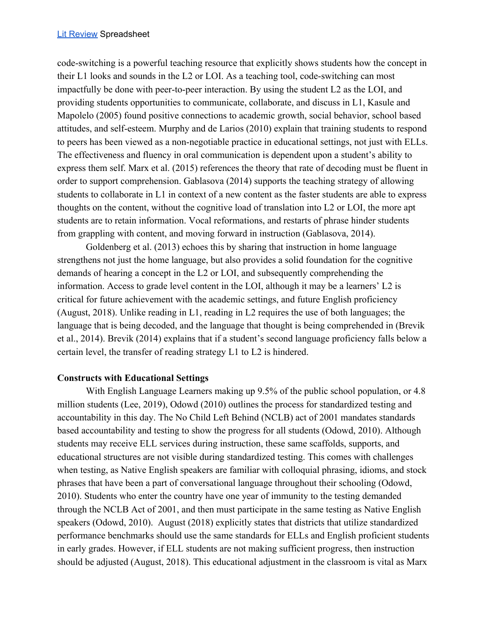code-switching is a powerful teaching resource that explicitly shows students how the concept in their L1 looks and sounds in the L2 or LOI. As a teaching tool, code-switching can most impactfully be done with peer-to-peer interaction. By using the student L2 as the LOI, and providing students opportunities to communicate, collaborate, and discuss in L1, Kasule and Mapolelo (2005) found positive connections to academic growth, social behavior, school based attitudes, and self-esteem. Murphy and de Larios (2010) explain that training students to respond to peers has been viewed as a non-negotiable practice in educational settings, not just with ELLs. The effectiveness and fluency in oral communication is dependent upon a student's ability to express them self. Marx et al. (2015) references the theory that rate of decoding must be fluent in order to support comprehension. Gablasova (2014) supports the teaching strategy of allowing students to collaborate in L1 in context of a new content as the faster students are able to express thoughts on the content, without the cognitive load of translation into L2 or LOI, the more apt students are to retain information. Vocal reformations, and restarts of phrase hinder students from grappling with content, and moving forward in instruction (Gablasova, 2014).

Goldenberg et al. (2013) echoes this by sharing that instruction in home language strengthens not just the home language, but also provides a solid foundation for the cognitive demands of hearing a concept in the L2 or LOI, and subsequently comprehending the information. Access to grade level content in the LOI, although it may be a learners' L2 is critical for future achievement with the academic settings, and future English proficiency (August, 2018). Unlike reading in L1, reading in L2 requires the use of both languages; the language that is being decoded, and the language that thought is being comprehended in (Brevik et al., 2014). Brevik (2014) explains that if a student's second language proficiency falls below a certain level, the transfer of reading strategy L1 to L2 is hindered.

## **Constructs with Educational Settings**

With English Language Learners making up 9.5% of the public school population, or 4.8 million students (Lee, 2019), Odowd (2010) outlines the process for standardized testing and accountability in this day. The No Child Left Behind (NCLB) act of 2001 mandates standards based accountability and testing to show the progress for all students (Odowd, 2010). Although students may receive ELL services during instruction, these same scaffolds, supports, and educational structures are not visible during standardized testing. This comes with challenges when testing, as Native English speakers are familiar with colloquial phrasing, idioms, and stock phrases that have been a part of conversational language throughout their schooling (Odowd, 2010). Students who enter the country have one year of immunity to the testing demanded through the NCLB Act of 2001, and then must participate in the same testing as Native English speakers (Odowd, 2010). August (2018) explicitly states that districts that utilize standardized performance benchmarks should use the same standards for ELLs and English proficient students in early grades. However, if ELL students are not making sufficient progress, then instruction should be adjusted (August, 2018). This educational adjustment in the classroom is vital as Marx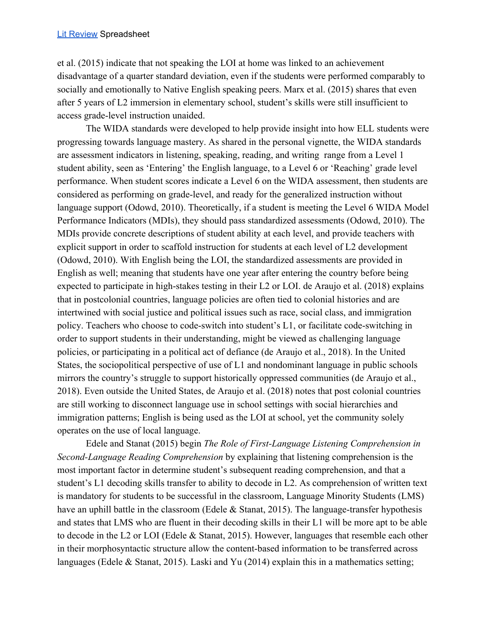et al. (2015) indicate that not speaking the LOI at home was linked to an achievement disadvantage of a quarter standard deviation, even if the students were performed comparably to socially and emotionally to Native English speaking peers. Marx et al. (2015) shares that even after 5 years of L2 immersion in elementary school, student's skills were still insufficient to access grade-level instruction unaided.

The WIDA standards were developed to help provide insight into how ELL students were progressing towards language mastery. As shared in the personal vignette, the WIDA standards are assessment indicators in listening, speaking, reading, and writing range from a Level 1 student ability, seen as 'Entering' the English language, to a Level 6 or 'Reaching' grade level performance. When student scores indicate a Level 6 on the WIDA assessment, then students are considered as performing on grade-level, and ready for the generalized instruction without language support (Odowd, 2010). Theoretically, if a student is meeting the Level 6 WIDA Model Performance Indicators (MDIs), they should pass standardized assessments (Odowd, 2010). The MDIs provide concrete descriptions of student ability at each level, and provide teachers with explicit support in order to scaffold instruction for students at each level of L2 development (Odowd, 2010). With English being the LOI, the standardized assessments are provided in English as well; meaning that students have one year after entering the country before being expected to participate in high-stakes testing in their L2 or LOI. de Araujo et al. (2018) explains that in postcolonial countries, language policies are often tied to colonial histories and are intertwined with social justice and political issues such as race, social class, and immigration policy. Teachers who choose to code-switch into student's L1, or facilitate code-switching in order to support students in their understanding, might be viewed as challenging language policies, or participating in a political act of defiance (de Araujo et al., 2018). In the United States, the sociopolitical perspective of use of L1 and nondominant language in public schools mirrors the country's struggle to support historically oppressed communities (de Araujo et al., 2018). Even outside the United States, de Araujo et al. (2018) notes that post colonial countries are still working to disconnect language use in school settings with social hierarchies and immigration patterns; English is being used as the LOI at school, yet the community solely operates on the use of local language.

Edele and Stanat (2015) begin *The Role of First-Language Listening Comprehension in Second-Language Reading Comprehension* by explaining that listening comprehension is the most important factor in determine student's subsequent reading comprehension, and that a student's L1 decoding skills transfer to ability to decode in L2. As comprehension of written text is mandatory for students to be successful in the classroom, Language Minority Students (LMS) have an uphill battle in the classroom (Edele & Stanat, 2015). The language-transfer hypothesis and states that LMS who are fluent in their decoding skills in their L1 will be more apt to be able to decode in the L2 or LOI (Edele & Stanat, 2015). However, languages that resemble each other in their morphosyntactic structure allow the content-based information to be transferred across languages (Edele & Stanat, 2015). Laski and Yu (2014) explain this in a mathematics setting;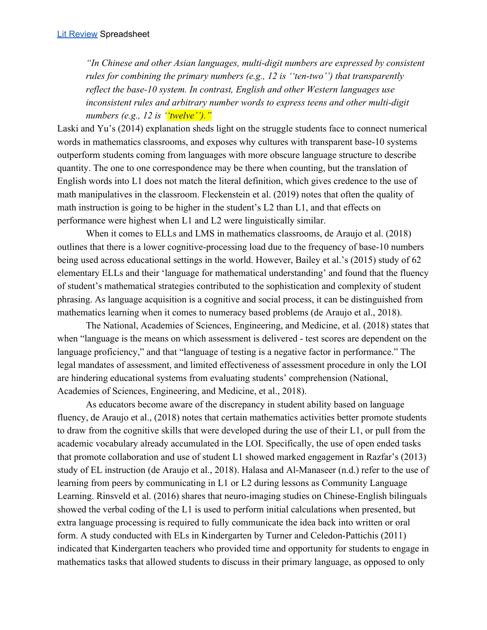*"In Chinese and other Asian languages, multi-digit numbers are expressed by consistent rules for combining the primary numbers (e.g., 12 is ''ten-two'') that transparently reflect the base-10 system. In contrast, English and other Western languages use inconsistent rules and arbitrary number words to express teens and other multi-digit numbers (e.g., 12 is ''twelve'')."*

Laski and Yu's (2014) explanation sheds light on the struggle students face to connect numerical words in mathematics classrooms, and exposes why cultures with transparent base-10 systems outperform students coming from languages with more obscure language structure to describe quantity. The one to one correspondence may be there when counting, but the translation of English words into L1 does not match the literal definition, which gives credence to the use of math manipulatives in the classroom. Fleckenstein et al. (2019) notes that often the quality of math instruction is going to be higher in the student's L2 than L1, and that effects on performance were highest when L1 and L2 were linguistically similar.

When it comes to ELLs and LMS in mathematics classrooms, de Araujo et al. (2018) outlines that there is a lower cognitive-processing load due to the frequency of base-10 numbers being used across educational settings in the world. However, Bailey et al.'s (2015) study of 62 elementary ELLs and their 'language for mathematical understanding' and found that the fluency of student's mathematical strategies contributed to the sophistication and complexity of student phrasing. As language acquisition is a cognitive and social process, it can be distinguished from mathematics learning when it comes to numeracy based problems (de Araujo et al., 2018).

The National, Academies of Sciences, Engineering, and Medicine, et al. (2018) states that when "language is the means on which assessment is delivered - test scores are dependent on the language proficiency," and that "language of testing is a negative factor in performance." The legal mandates of assessment, and limited effectiveness of assessment procedure in only the LOI are hindering educational systems from evaluating students' comprehension (National, Academies of Sciences, Engineering, and Medicine, et al., 2018).

As educators become aware of the discrepancy in student ability based on language fluency, de Araujo et al., (2018) notes that certain mathematics activities better promote students to draw from the cognitive skills that were developed during the use of their L1, or pull from the academic vocabulary already accumulated in the LOI. Specifically, the use of open ended tasks that promote collaboration and use of student L1 showed marked engagement in Razfar's (2013) study of EL instruction (de Araujo et al., 2018). Halasa and Al-Manaseer (n.d.) refer to the use of learning from peers by communicating in L1 or L2 during lessons as Community Language Learning. Rinsveld et al. (2016) shares that neuro-imaging studies on Chinese-English bilinguals showed the verbal coding of the L1 is used to perform initial calculations when presented, but extra language processing is required to fully communicate the idea back into written or oral form. A study conducted with ELs in Kindergarten by Turner and Celedon-Pattichis (2011) indicated that Kindergarten teachers who provided time and opportunity for students to engage in mathematics tasks that allowed students to discuss in their primary language, as opposed to only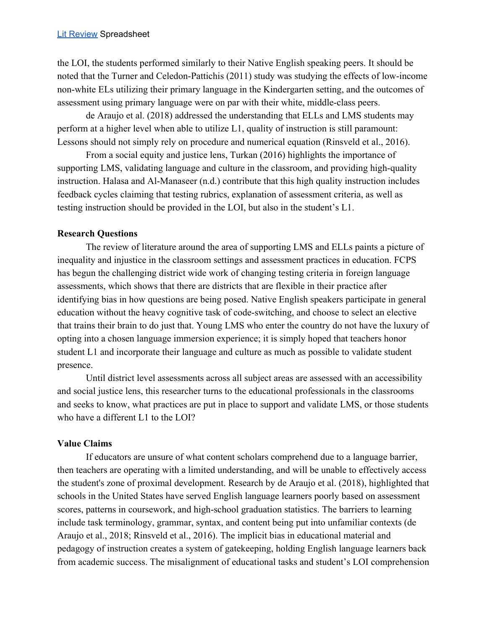the LOI, the students performed similarly to their Native English speaking peers. It should be noted that the Turner and Celedon-Pattichis (2011) study was studying the effects of low-income non-white ELs utilizing their primary language in the Kindergarten setting, and the outcomes of assessment using primary language were on par with their white, middle-class peers.

de Araujo et al. (2018) addressed the understanding that ELLs and LMS students may perform at a higher level when able to utilize L1, quality of instruction is still paramount: Lessons should not simply rely on procedure and numerical equation (Rinsveld et al., 2016).

From a social equity and justice lens, Turkan (2016) highlights the importance of supporting LMS, validating language and culture in the classroom, and providing high-quality instruction. Halasa and Al-Manaseer (n.d.) contribute that this high quality instruction includes feedback cycles claiming that testing rubrics, explanation of assessment criteria, as well as testing instruction should be provided in the LOI, but also in the student's L1.

## **Research Questions**

The review of literature around the area of supporting LMS and ELLs paints a picture of inequality and injustice in the classroom settings and assessment practices in education. FCPS has begun the challenging district wide work of changing testing criteria in foreign language assessments, which shows that there are districts that are flexible in their practice after identifying bias in how questions are being posed. Native English speakers participate in general education without the heavy cognitive task of code-switching, and choose to select an elective that trains their brain to do just that. Young LMS who enter the country do not have the luxury of opting into a chosen language immersion experience; it is simply hoped that teachers honor student L1 and incorporate their language and culture as much as possible to validate student presence.

Until district level assessments across all subject areas are assessed with an accessibility and social justice lens, this researcher turns to the educational professionals in the classrooms and seeks to know, what practices are put in place to support and validate LMS, or those students who have a different L1 to the LOI?

# **Value Claims**

If educators are unsure of what content scholars comprehend due to a language barrier, then teachers are operating with a limited understanding, and will be unable to effectively access the student's zone of proximal development. Research by de Araujo et al. (2018), highlighted that schools in the United States have served English language learners poorly based on assessment scores, patterns in coursework, and high-school graduation statistics. The barriers to learning include task terminology, grammar, syntax, and content being put into unfamiliar contexts (de Araujo et al., 2018; Rinsveld et al., 2016). The implicit bias in educational material and pedagogy of instruction creates a system of gatekeeping, holding English language learners back from academic success. The misalignment of educational tasks and student's LOI comprehension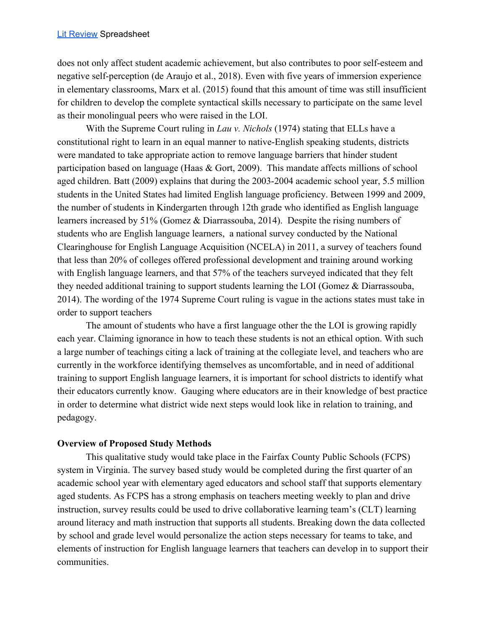does not only affect student academic achievement, but also contributes to poor self-esteem and negative self-perception (de Araujo et al., 2018). Even with five years of immersion experience in elementary classrooms, Marx et al. (2015) found that this amount of time was still insufficient for children to develop the complete syntactical skills necessary to participate on the same level as their monolingual peers who were raised in the LOI.

With the Supreme Court ruling in *Lau v. Nichols* (1974) stating that ELLs have a constitutional right to learn in an equal manner to native-English speaking students, districts were mandated to take appropriate action to remove language barriers that hinder student participation based on language (Haas & Gort, 2009). This mandate affects millions of school aged children. Batt (2009) explains that during the 2003-2004 academic school year, 5.5 million students in the United States had limited English language proficiency. Between 1999 and 2009, the number of students in Kindergarten through 12th grade who identified as English language learners increased by 51% (Gomez & Diarrassouba, 2014). Despite the rising numbers of students who are English language learners, a national survey conducted by the National Clearinghouse for English Language Acquisition (NCELA) in 2011, a survey of teachers found that less than 20% of colleges offered professional development and training around working with English language learners, and that 57% of the teachers surveyed indicated that they felt they needed additional training to support students learning the LOI (Gomez & Diarrassouba, 2014). The wording of the 1974 Supreme Court ruling is vague in the actions states must take in order to support teachers

The amount of students who have a first language other the the LOI is growing rapidly each year. Claiming ignorance in how to teach these students is not an ethical option. With such a large number of teachings citing a lack of training at the collegiate level, and teachers who are currently in the workforce identifying themselves as uncomfortable, and in need of additional training to support English language learners, it is important for school districts to identify what their educators currently know. Gauging where educators are in their knowledge of best practice in order to determine what district wide next steps would look like in relation to training, and pedagogy.

## **Overview of Proposed Study Methods**

This qualitative study would take place in the Fairfax County Public Schools (FCPS) system in Virginia. The survey based study would be completed during the first quarter of an academic school year with elementary aged educators and school staff that supports elementary aged students. As FCPS has a strong emphasis on teachers meeting weekly to plan and drive instruction, survey results could be used to drive collaborative learning team's (CLT) learning around literacy and math instruction that supports all students. Breaking down the data collected by school and grade level would personalize the action steps necessary for teams to take, and elements of instruction for English language learners that teachers can develop in to support their communities.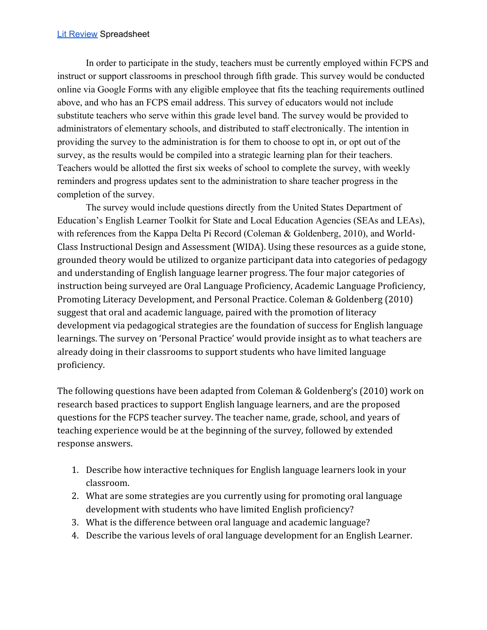#### **Lit [Review](https://docs.google.com/spreadsheets/d/1ufuzw4EPA9jjQA0_Nf8i-8BiE47PDetLtHV6tUVWL4Q/edit?usp=sharing) Spreadsheet**

In order to participate in the study, teachers must be currently employed within FCPS and instruct or support classrooms in preschool through fifth grade. This survey would be conducted online via Google Forms with any eligible employee that fits the teaching requirements outlined above, and who has an FCPS email address. This survey of educators would not include substitute teachers who serve within this grade level band. The survey would be provided to administrators of elementary schools, and distributed to staff electronically. The intention in providing the survey to the administration is for them to choose to opt in, or opt out of the survey, as the results would be compiled into a strategic learning plan for their teachers. Teachers would be allotted the first six weeks of school to complete the survey, with weekly reminders and progress updates sent to the administration to share teacher progress in the completion of the survey.

The survey would include questions directly from the United States Department of Education's English Learner Toolkit for State and Local Education Agencies (SEAs and LEAs), with references from the Kappa Delta Pi Record (Coleman & Goldenberg, 2010), and World-Class Instructional Design and Assessment (WIDA). Using these resources as a guide stone, grounded theory would be utilized to organize participant data into categories of pedagogy and understanding of English language learner progress. The four major categories of instruction being surveyed are Oral Language Proficiency, Academic Language Proficiency, Promoting Literacy Development, and Personal Practice. Coleman & Goldenberg (2010) suggest that oral and academic language, paired with the promotion of literacy development via pedagogical strategies are the foundation of success for English language learnings. The survey on 'Personal Practice' would provide insight as to what teachers are already doing in their classrooms to support students who have limited language proficiency.

The following questions have been adapted from Coleman & Goldenberg's (2010) work on research based practices to support English language learners, and are the proposed questions for the FCPS teacher survey. The teacher name, grade, school, and years of teaching experience would be at the beginning of the survey, followed by extended response answers.

- 1. Describe how interactive techniques for English language learners look in your classroom.
- 2. What are some strategies are you currently using for promoting oral language development with students who have limited English proficiency?
- 3. What is the difference between oral language and academic language?
- 4. Describe the various levels of oral language development for an English Learner.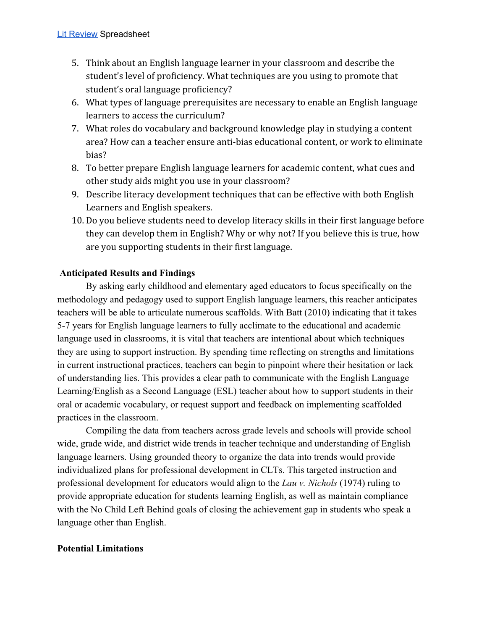- 5. Think about an English language learner in your classroom and describe the student's level of proficiency. What techniques are you using to promote that student's oral language proficiency?
- 6. What types of language prerequisites are necessary to enable an English language learners to access the curriculum?
- 7. What roles do vocabulary and background knowledge play in studying a content area? How can a teacher ensure anti-bias educational content, or work to eliminate bias?
- 8. To better prepare English language learners for academic content, what cues and other study aids might you use in your classroom?
- 9. Describe literacy development techniques that can be effective with both English Learners and English speakers.
- 10. Do you believe students need to develop literacy skills in their first language before they can develop them in English? Why or why not? If you believe this is true, how are you supporting students in their first language.

# **Anticipated Results and Findings**

By asking early childhood and elementary aged educators to focus specifically on the methodology and pedagogy used to support English language learners, this reacher anticipates teachers will be able to articulate numerous scaffolds. With Batt (2010) indicating that it takes 5-7 years for English language learners to fully acclimate to the educational and academic language used in classrooms, it is vital that teachers are intentional about which techniques they are using to support instruction. By spending time reflecting on strengths and limitations in current instructional practices, teachers can begin to pinpoint where their hesitation or lack of understanding lies. This provides a clear path to communicate with the English Language Learning/English as a Second Language (ESL) teacher about how to support students in their oral or academic vocabulary, or request support and feedback on implementing scaffolded practices in the classroom.

Compiling the data from teachers across grade levels and schools will provide school wide, grade wide, and district wide trends in teacher technique and understanding of English language learners. Using grounded theory to organize the data into trends would provide individualized plans for professional development in CLTs. This targeted instruction and professional development for educators would align to the *Lau v. Nichols* (1974) ruling to provide appropriate education for students learning English, as well as maintain compliance with the No Child Left Behind goals of closing the achievement gap in students who speak a language other than English.

# **Potential Limitations**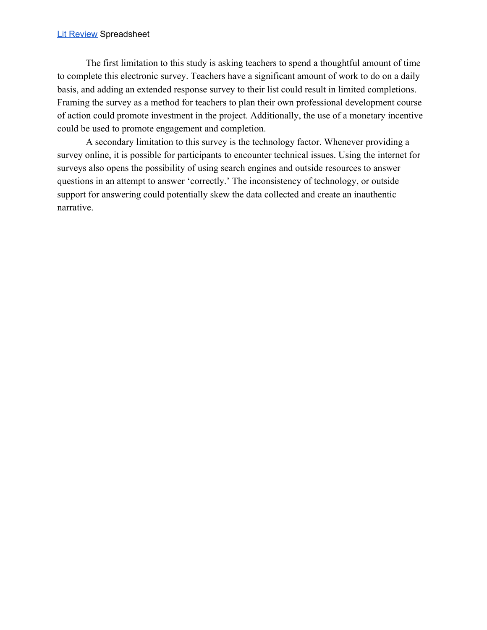#### **Lit [Review](https://docs.google.com/spreadsheets/d/1ufuzw4EPA9jjQA0_Nf8i-8BiE47PDetLtHV6tUVWL4Q/edit?usp=sharing) Spreadsheet**

The first limitation to this study is asking teachers to spend a thoughtful amount of time to complete this electronic survey. Teachers have a significant amount of work to do on a daily basis, and adding an extended response survey to their list could result in limited completions. Framing the survey as a method for teachers to plan their own professional development course of action could promote investment in the project. Additionally, the use of a monetary incentive could be used to promote engagement and completion.

A secondary limitation to this survey is the technology factor. Whenever providing a survey online, it is possible for participants to encounter technical issues. Using the internet for surveys also opens the possibility of using search engines and outside resources to answer questions in an attempt to answer 'correctly.' The inconsistency of technology, or outside support for answering could potentially skew the data collected and create an inauthentic narrative.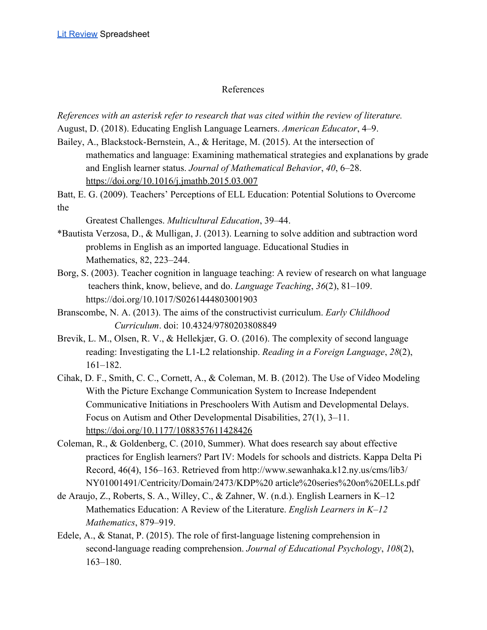## References

*References with an asterisk refer to research that was cited within the review of literature.* August, D. (2018). Educating English Language Learners. *American Educator*, 4–9.

- Bailey, A., Blackstock-Bernstein, A., & Heritage, M. (2015). At the intersection of mathematics and language: Examining mathematical strategies and explanations by grade and English learner status. *Journal of Mathematical Behavior*, *40*, 6–28. <https://doi.org/10.1016/j.jmathb.2015.03.007>
- Batt, E. G. (2009). Teachers' Perceptions of ELL Education: Potential Solutions to Overcome the

Greatest Challenges. *Multicultural Education*, 39–44.

- \*Bautista Verzosa, D., & Mulligan, J. (2013). Learning to solve addition and subtraction word problems in English as an imported language. Educational Studies in Mathematics, 82, 223–244.
- Borg, S. (2003). Teacher cognition in language teaching: A review of research on what language teachers think, know, believe, and do. *Language Teaching*, *36*(2), 81–109. https://doi.org/10.1017/S0261444803001903
- Branscombe, N. A. (2013). The aims of the constructivist curriculum. *Early Childhood Curriculum*. doi: 10.4324/9780203808849
- Brevik, L. M., Olsen, R. V., & Hellekjær, G. O. (2016). The complexity of second language reading: Investigating the L1-L2 relationship. *Reading in a Foreign Language*, *28*(2), 161–182.
- Cihak, D. F., Smith, C. C., Cornett, A., & Coleman, M. B. (2012). The Use of Video Modeling With the Picture Exchange Communication System to Increase Independent Communicative Initiations in Preschoolers With Autism and Developmental Delays. Focus on Autism and Other Developmental Disabilities, 27(1), 3–11. <https://doi.org/10.1177/1088357611428426>
- Coleman, R., & Goldenberg, C. (2010, Summer). What does research say about effective practices for English learners? Part IV: Models for schools and districts. Kappa Delta Pi Record, 46(4), 156–163. Retrieved from http://www.sewanhaka.k12.ny.us/cms/lib3/ NY01001491/Centricity/Domain/2473/KDP%20 article%20series%20on%20ELLs.pdf
- de Araujo, Z., Roberts, S. A., Willey, C., & Zahner, W. (n.d.). English Learners in K–12 Mathematics Education: A Review of the Literature. *English Learners in K–12 Mathematics*, 879–919.
- Edele, A., & Stanat, P. (2015). The role of first-language listening comprehension in second-language reading comprehension. *Journal of Educational Psychology*, *108*(2), 163–180.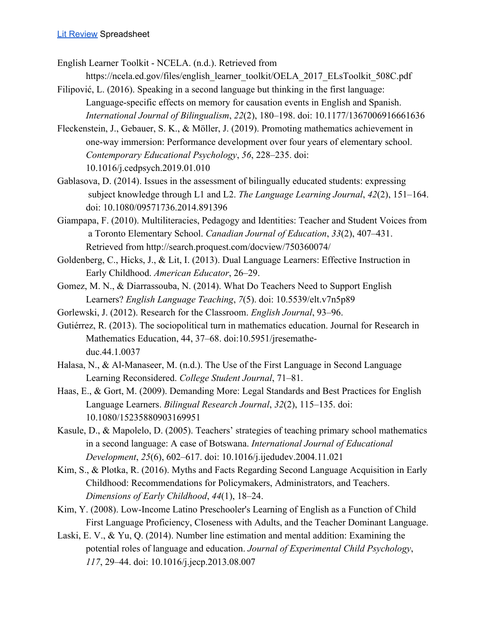English Learner Toolkit - NCELA. (n.d.). Retrieved from

- https://ncela.ed.gov/files/english\_learner\_toolkit/OELA\_2017\_ELsToolkit\_508C.pdf Filipović, L. (2016). Speaking in a second language but thinking in the first language:
- Language-specific effects on memory for causation events in English and Spanish. *International Journal of Bilingualism*, *22*(2), 180–198. doi: 10.1177/1367006916661636
- Fleckenstein, J., Gebauer, S. K., & Möller, J. (2019). Promoting mathematics achievement in one-way immersion: Performance development over four years of elementary school. *Contemporary Educational Psychology*, *56*, 228–235. doi: 10.1016/j.cedpsych.2019.01.010
- Gablasova, D. (2014). Issues in the assessment of bilingually educated students: expressing subject knowledge through L1 and L2. *The Language Learning Journal*, *42*(2), 151–164. doi: 10.1080/09571736.2014.891396
- Giampapa, F. (2010). Multiliteracies, Pedagogy and Identities: Teacher and Student Voices from a Toronto Elementary School. *Canadian Journal of Education*, *33*(2), 407–431. Retrieved from http://search.proquest.com/docview/750360074/
- Goldenberg, C., Hicks, J., & Lit, I. (2013). Dual Language Learners: Effective Instruction in Early Childhood. *American Educator*, 26–29.
- Gomez, M. N., & Diarrassouba, N. (2014). What Do Teachers Need to Support English Learners? *English Language Teaching*, *7*(5). doi: 10.5539/elt.v7n5p89
- Gorlewski, J. (2012). Research for the Classroom. *English Journal*, 93–96.
- Gutiérrez, R. (2013). The sociopolitical turn in mathematics education. Journal for Research in Mathematics Education, 44, 37–68. doi:10.5951/jresematheduc.44.1.0037
- Halasa, N., & Al-Manaseer, M. (n.d.). The Use of the First Language in Second Language Learning Reconsidered. *College Student Journal*, 71–81.
- Haas, E., & Gort, M. (2009). Demanding More: Legal Standards and Best Practices for English Language Learners. *Bilingual Research Journal*, *32*(2), 115–135. doi: 10.1080/15235880903169951
- Kasule, D., & Mapolelo, D. (2005). Teachers' strategies of teaching primary school mathematics in a second language: A case of Botswana. *International Journal of Educational Development*, *25*(6), 602–617. doi: 10.1016/j.ijedudev.2004.11.021
- Kim, S., & Plotka, R. (2016). Myths and Facts Regarding Second Language Acquisition in Early Childhood: Recommendations for Policymakers, Administrators, and Teachers. *Dimensions of Early Childhood*, *44*(1), 18–24.
- Kim, Y. (2008). Low-Income Latino Preschooler's Learning of English as a Function of Child First Language Proficiency, Closeness with Adults, and the Teacher Dominant Language.
- Laski, E. V., & Yu, Q. (2014). Number line estimation and mental addition: Examining the potential roles of language and education. *Journal of Experimental Child Psychology*, *117*, 29–44. doi: 10.1016/j.jecp.2013.08.007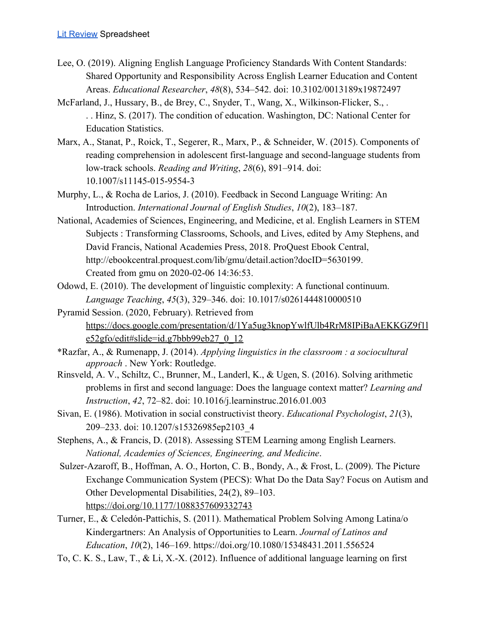- Lee, O. (2019). Aligning English Language Proficiency Standards With Content Standards: Shared Opportunity and Responsibility Across English Learner Education and Content Areas. *Educational Researcher*, *48*(8), 534–542. doi: 10.3102/0013189x19872497
- McFarland, J., Hussary, B., de Brey, C., Snyder, T., Wang, X., Wilkinson-Flicker, S., . . . Hinz, S. (2017). The condition of education. Washington, DC: National Center for Education Statistics.
- Marx, A., Stanat, P., Roick, T., Segerer, R., Marx, P., & Schneider, W. (2015). Components of reading comprehension in adolescent first-language and second-language students from low-track schools. *Reading and Writing*, *28*(6), 891–914. doi: 10.1007/s11145-015-9554-3
- Murphy, L., & Rocha de Larios, J. (2010). Feedback in Second Language Writing: An Introduction. *International Journal of English Studies*, *10*(2), 183–187.
- National, Academies of Sciences, Engineering, and Medicine, et al. English Learners in STEM Subjects : Transforming Classrooms, Schools, and Lives, edited by Amy Stephens, and David Francis, National Academies Press, 2018. ProQuest Ebook Central, http://ebookcentral.proquest.com/lib/gmu/detail.action?docID=5630199. Created from gmu on 2020-02-06 14:36:53.
- Odowd, E. (2010). The development of linguistic complexity: A functional continuum. *Language Teaching*, *45*(3), 329–346. doi: 10.1017/s0261444810000510
- Pyramid Session. (2020, February). Retrieved from [https://docs.google.com/presentation/d/1Ya5ug3knopYwlfUlb4RrM8IPiBaAEKKGZ9f1l](https://docs.google.com/presentation/d/1Ya5ug3knopYwlfUlb4RrM8IPiBaAEKKGZ9f1le52gfo/edit#slide=id.g7bbb99eb27_0_12) [e52gfo/edit#slide=id.g7bbb99eb27\\_0\\_12](https://docs.google.com/presentation/d/1Ya5ug3knopYwlfUlb4RrM8IPiBaAEKKGZ9f1le52gfo/edit#slide=id.g7bbb99eb27_0_12)
- \*Razfar, A., & Rumenapp, J. (2014). *Applying linguistics in the classroom : a sociocultural approach* . New York: Routledge.
- Rinsveld, A. V., Schiltz, C., Brunner, M., Landerl, K., & Ugen, S. (2016). Solving arithmetic problems in first and second language: Does the language context matter? *Learning and Instruction*, *42*, 72–82. doi: 10.1016/j.learninstruc.2016.01.003
- Sivan, E. (1986). Motivation in social constructivist theory. *Educational Psychologist*, *21*(3), 209–233. doi: 10.1207/s15326985ep2103\_4
- Stephens, A., & Francis, D. (2018). Assessing STEM Learning among English Learners. *National, Academies of Sciences, Engineering, and Medicine*.
- Sulzer-Azaroff, B., Hoffman, A. O., Horton, C. B., Bondy, A., & Frost, L. (2009). The Picture Exchange Communication System (PECS): What Do the Data Say? Focus on Autism and Other Developmental Disabilities, 24(2), 89–103. <https://doi.org/10.1177/1088357609332743>
- Turner, E., & Celedón-Pattichis, S. (2011). Mathematical Problem Solving Among Latina/o Kindergartners: An Analysis of Opportunities to Learn. *Journal of Latinos and Education*, *10*(2), 146–169. https://doi.org/10.1080/15348431.2011.556524
- To, C. K. S., Law, T., & Li, X.-X. (2012). Influence of additional language learning on first